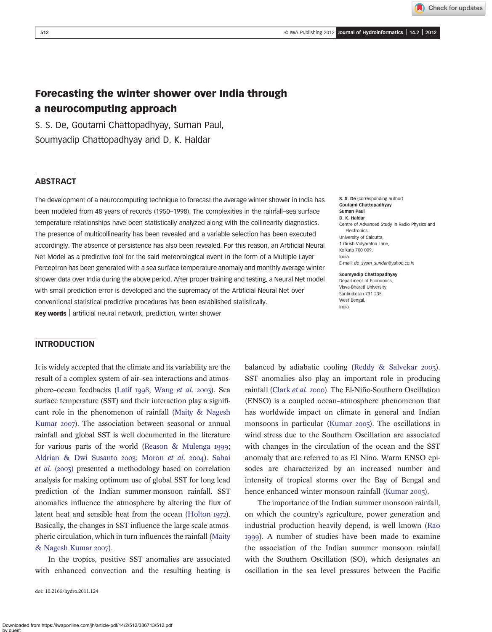<sup>512</sup> © IWA Publishing 2012 Journal of Hydroinformatics | 14.2 | <sup>2012</sup>

Check for updates

# Forecasting the winter shower over India through a neurocomputing approach

S. S. De, Goutami Chattopadhyay, Suman Paul, Soumyadip Chattopadhyay and D. K. Haldar

# **ABSTRACT**

The development of a neurocomputing technique to forecast the average winter shower in India has been modeled from 48 years of records (1950–1998). The complexities in the rainfall–sea surface temperature relationships have been statistically analyzed along with the collinearity diagnostics. The presence of multicollinearity has been revealed and a variable selection has been executed accordingly. The absence of persistence has also been revealed. For this reason, an Artificial Neural Net Model as a predictive tool for the said meteorological event in the form of a Multiple Layer Perceptron has been generated with a sea surface temperature anomaly and monthly average winter shower data over India during the above period. After proper training and testing, a Neural Net model with small prediction error is developed and the supremacy of the Artificial Neural Net over conventional statistical predictive procedures has been established statistically. Key words | artificial neural network, prediction, winter shower

INTRODUCTION

It is widely accepted that the climate and its variability are the result of a complex system of air–sea interactions and atmos-phere–ocean feedbacks ([Latif](#page-10-0) 1998; [Wang](#page-10-0) et al. 2003). Sea surface temperature (SST) and their interaction play a significant role in the phenomenon of rainfall [\(Maity & Nagesh](#page-10-0) [Kumar](#page-10-0) 2007). The association between seasonal or annual rainfall and global SST is well documented in the literature for various parts of the world (Reason  $&$  Mulenga 1999; [Aldrian & Dwi Susanto](#page-9-0) 2003; [Moron](#page-10-0) et al. 2004). [Sahai](#page-10-0) [et al](#page-10-0). (2003) presented a methodology based on correlation analysis for making optimum use of global SST for long lead prediction of the Indian summer-monsoon rainfall. SST anomalies influence the atmosphere by altering the flux of latent heat and sensible heat from the ocean [\(Holton](#page-10-0) 1972). Basically, the changes in SST influence the large-scale atmospheric circulation, which in turn influences the rainfall [\(Maity](#page-10-0) [& Nagesh Kumar](#page-10-0) 2007).

In the tropics, positive SST anomalies are associated with enhanced convection and the resulting heating is

doi: 10.2166/hydro.2011.124

S. S. De (corresponding author) Goutami Chattopadhyay Suman Paul D. K. Haldar Centre of Advanced Study in Radio Physics and **Electronics** University of Calcutta, 1 Girish Vidyaratna Lane, Kolkata 700 009, India E-mail: [de\\_syam\\_sundar@yahoo.co.in](mailto:de_syam_sundar@yahoo.co.in)

Soumyadip Chattopadhyay Department of Economics, Visva-Bharati University, Santiniketan 731 235, West Bengal, India

balanced by adiabatic cooling ([Reddy & Salvekar](#page-10-0) 2003). SST anomalies also play an important role in producing rainfall ([Clark](#page-9-0) et al. 2000). The El-Niño-Southern Oscillation (ENSO) is a coupled ocean–atmosphere phenomenon that has worldwide impact on climate in general and Indian monsoons in particular [\(Kumar](#page-10-0) 2005). The oscillations in wind stress due to the Southern Oscillation are associated with changes in the circulation of the ocean and the SST anomaly that are referred to as El Nino. Warm ENSO episodes are characterized by an increased number and intensity of tropical storms over the Bay of Bengal and hence enhanced winter monsoon rainfall ([Kumar](#page-10-0) 2005).

The importance of the Indian summer monsoon rainfall, on which the country's agriculture, power generation and industrial production heavily depend, is well known [\(Rao](#page-10-0) ). A number of studies have been made to examine the association of the Indian summer monsoon rainfall with the Southern Oscillation (SO), which designates an oscillation in the sea level pressures between the Pacific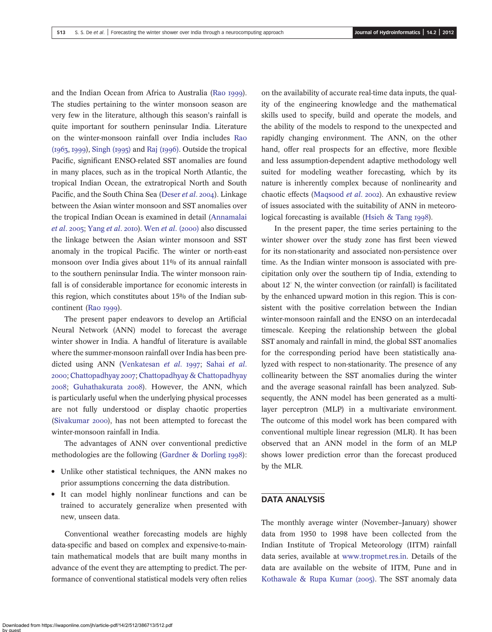and the Indian Ocean from Africa to Australia (Rao 1999). The studies pertaining to the winter monsoon season are very few in the literature, although this season's rainfall is quite important for southern peninsular India. Literature on the winter-monsoon rainfall over India includes [Rao](#page-10-0)  $(1963, 1999)$ , Singh  $(1995)$  and Raj  $(1996)$ . Outside the tropical Pacific, significant ENSO-related SST anomalies are found in many places, such as in the tropical North Atlantic, the tropical Indian Ocean, the extratropical North and South Pacific, and the South China Sea ([Deser](#page-9-0) et al. 2004). Linkage between the Asian winter monsoon and SST anomalies over the tropical Indian Ocean is examined in detail [\(Annamalai](#page-9-0)  $et al. 2005$ ; [Yang](#page-10-0)  $et al. 2010$ ). [Wen](#page-10-0)  $et al. (2000)$  also discussed the linkage between the Asian winter monsoon and SST anomaly in the tropical Pacific. The winter or north-east monsoon over India gives about 11% of its annual rainfall to the southern peninsular India. The winter monsoon rainfall is of considerable importance for economic interests in this region, which constitutes about 15% of the Indian subcontinent (Rao 1999).

The present paper endeavors to develop an Artificial Neural Network (ANN) model to forecast the average winter shower in India. A handful of literature is available where the summer-monsoon rainfall over India has been pre-dicted using ANN ([Venkatesan](#page-10-0) et al. 1997; [Sahai](#page-10-0) et al. 2000; [Chattopadhyay](#page-9-0) 2007; [Chattopadhyay & Chattopadhyay](#page-9-0) 2008; [Guhathakurata](#page-10-0) 2008). However, the ANN, which is particularly useful when the underlying physical processes are not fully understood or display chaotic properties [\(Sivakumar](#page-10-0) 2000), has not been attempted to forecast the winter-monsoon rainfall in India.

The advantages of ANN over conventional predictive methodologies are the following ([Gardner & Dorling](#page-10-0)  $1998$ ):

- Unlike other statistical techniques, the ANN makes no prior assumptions concerning the data distribution.
- It can model highly nonlinear functions and can be trained to accurately generalize when presented with new, unseen data.

Conventional weather forecasting models are highly data-specific and based on complex and expensive-to-maintain mathematical models that are built many months in advance of the event they are attempting to predict. The performance of conventional statistical models very often relies on the availability of accurate real-time data inputs, the quality of the engineering knowledge and the mathematical skills used to specify, build and operate the models, and the ability of the models to respond to the unexpected and rapidly changing environment. The ANN, on the other hand, offer real prospects for an effective, more flexible and less assumption-dependent adaptive methodology well suited for modeling weather forecasting, which by its nature is inherently complex because of nonlinearity and chaotic effects ([Maqsood](#page-10-0) et al. 2002). An exhaustive review of issues associated with the suitability of ANN in meteoro-logical forecasting is available [\(Hsieh & Tang](#page-10-0)  $1998$ ).

In the present paper, the time series pertaining to the winter shower over the study zone has first been viewed for its non-stationarity and associated non-persistence over time. As the Indian winter monsoon is associated with precipitation only over the southern tip of India, extending to about  $12^{\circ}$  N, the winter convection (or rainfall) is facilitated by the enhanced upward motion in this region. This is consistent with the positive correlation between the Indian winter-monsoon rainfall and the ENSO on an interdecadal timescale. Keeping the relationship between the global SST anomaly and rainfall in mind, the global SST anomalies for the corresponding period have been statistically analyzed with respect to non-stationarity. The presence of any collinearity between the SST anomalies during the winter and the average seasonal rainfall has been analyzed. Subsequently, the ANN model has been generated as a multilayer perceptron (MLP) in a multivariate environment. The outcome of this model work has been compared with conventional multiple linear regression (MLR). It has been observed that an ANN model in the form of an MLP shows lower prediction error than the forecast produced by the MLR.

## DATA ANALYSIS

The monthly average winter (November–January) shower data from 1950 to 1998 have been collected from the Indian Institute of Tropical Meteorology (IITM) rainfall data series, available at [www.tropmet.res.in.](http://www.tropmet.res.in) Details of the data are available on the website of IITM, Pune and in [Kothawale & Rupa Kumar \(](#page-10-0)2005). The SST anomaly data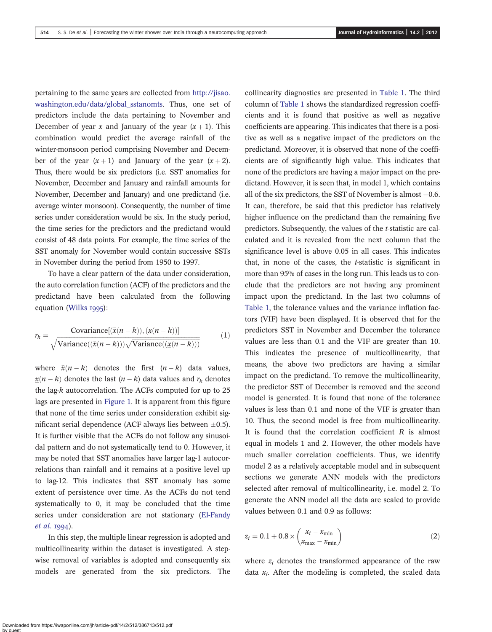pertaining to the same years are collected from [http://jisao.](http://jisao.washington.edu/data/global_sstanomts) [washington.edu/data/global\\_sstanomts.](http://jisao.washington.edu/data/global_sstanomts) Thus, one set of predictors include the data pertaining to November and December of year x and January of the year  $(x + 1)$ . This combination would predict the average rainfall of the winter-monsoon period comprising November and December of the year  $(x + 1)$  and January of the year  $(x + 2)$ . Thus, there would be six predictors (i.e. SST anomalies for November, December and January and rainfall amounts for November, December and January) and one predictand (i.e. average winter monsoon). Consequently, the number of time series under consideration would be six. In the study period, the time series for the predictors and the predictand would consist of 48 data points. For example, the time series of the SST anomaly for November would contain successive SSTs in November during the period from 1950 to 1997.

To have a clear pattern of the data under consideration, the auto correlation function (ACF) of the predictors and the predictand have been calculated from the following equation ([Wilks](#page-10-0) 1995):

$$
r_k = \frac{\text{Covariance}[(\bar{x}(n-k)), (\underline{x}(n-k))]}{\sqrt{\text{Variance}((\bar{x}(n-k)))\sqrt{\text{Variance}((\underline{x}(n-k)))}}}
$$
(1)

where  $\bar{x}(n-k)$  denotes the first  $(n-k)$  data values,  $\underline{x}(n-k)$  denotes the last  $(n-k)$  data values and  $r_k$  denotes the lag- $k$  autocorrelation. The ACFs computed for up to 25 lags are presented in [Figure 1](#page-3-0). It is apparent from this figure that none of the time series under consideration exhibit significant serial dependence (ACF always lies between  $\pm 0.5$ ). It is further visible that the ACFs do not follow any sinusoidal pattern and do not systematically tend to 0. However, it may be noted that SST anomalies have larger lag-1 autocorrelations than rainfall and it remains at a positive level up to lag-12. This indicates that SST anomaly has some extent of persistence over time. As the ACFs do not tend systematically to 0, it may be concluded that the time series under consideration are not stationary [\(El-Fandy](#page-9-0)  $et$  al.  $1994$ ).

In this step, the multiple linear regression is adopted and multicollinearity within the dataset is investigated. A stepwise removal of variables is adopted and consequently six models are generated from the six predictors. The collinearity diagnostics are presented in [Table 1](#page-4-0). The third column of [Table 1](#page-4-0) shows the standardized regression coefficients and it is found that positive as well as negative coefficients are appearing. This indicates that there is a positive as well as a negative impact of the predictors on the predictand. Moreover, it is observed that none of the coefficients are of significantly high value. This indicates that none of the predictors are having a major impact on the predictand. However, it is seen that, in model 1, which contains all of the six predictors, the SST of November is almost  $-0.6$ . It can, therefore, be said that this predictor has relatively higher influence on the predictand than the remaining five predictors. Subsequently, the values of the t-statistic are calculated and it is revealed from the next column that the significance level is above 0.05 in all cases. This indicates that, in none of the cases, the t-statistic is significant in more than 95% of cases in the long run. This leads us to conclude that the predictors are not having any prominent impact upon the predictand. In the last two columns of [Table 1,](#page-4-0) the tolerance values and the variance inflation factors (VIF) have been displayed. It is observed that for the predictors SST in November and December the tolerance values are less than 0.1 and the VIF are greater than 10. This indicates the presence of multicollinearity, that means, the above two predictors are having a similar impact on the predictand. To remove the multicollinearity, the predictor SST of December is removed and the second model is generated. It is found that none of the tolerance values is less than 0.1 and none of the VIF is greater than 10. Thus, the second model is free from multicollinearity. It is found that the correlation coefficient R is almost equal in models 1 and 2. However, the other models have much smaller correlation coefficients. Thus, we identify model 2 as a relatively acceptable model and in subsequent sections we generate ANN models with the predictors selected after removal of multicollinearity, i.e. model 2. To generate the ANN model all the data are scaled to provide values between 0.1 and 0.9 as follows:

$$
z_i = 0.1 + 0.8 \times \left(\frac{x_i - x_{\min}}{x_{\max} - x_{\min}}\right)
$$
 (2)

where  $z_i$  denotes the transformed appearance of the raw data  $x_i$ . After the modeling is completed, the scaled data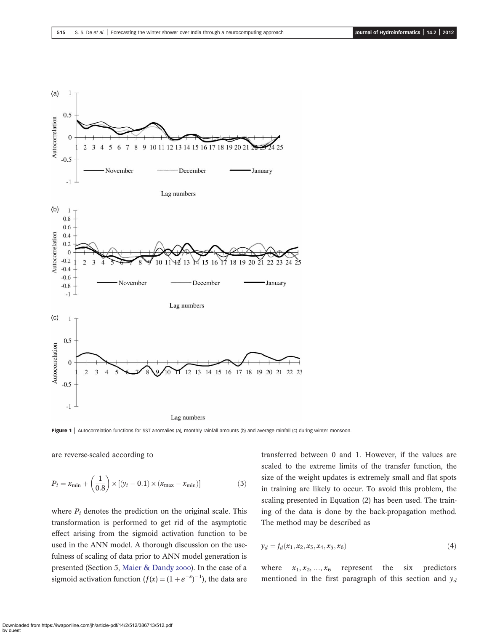<span id="page-3-0"></span>

Figure 1 | Autocorrelation functions for SST anomalies (a), monthly rainfall amounts (b) and average rainfall (c) during winter monsoon.

are reverse-scaled according to

$$
P_i = x_{\min} + \left(\frac{1}{0.8}\right) \times [(y_i - 0.1) \times (x_{\max} - x_{\min})]
$$
 (3)

where  $P_i$  denotes the prediction on the original scale. This transformation is performed to get rid of the asymptotic effect arising from the sigmoid activation function to be used in the ANN model. A thorough discussion on the usefulness of scaling of data prior to ANN model generation is presented (Section 5, [Maier & Dandy](#page-10-0) 2000). In the case of a sigmoid activation function  $(f(x) = (1 + e^{-x})^{-1})$ , the data are

transferred between 0 and 1. However, if the values are scaled to the extreme limits of the transfer function, the size of the weight updates is extremely small and flat spots in training are likely to occur. To avoid this problem, the scaling presented in Equation (2) has been used. The training of the data is done by the back-propagation method. The method may be described as

$$
y_d = f_d(x_1, x_2, x_3, x_4, x_5, x_6)
$$
\n(4)

where  $x_1, x_2, ..., x_6$  represent the six predictors mentioned in the first paragraph of this section and  $y_d$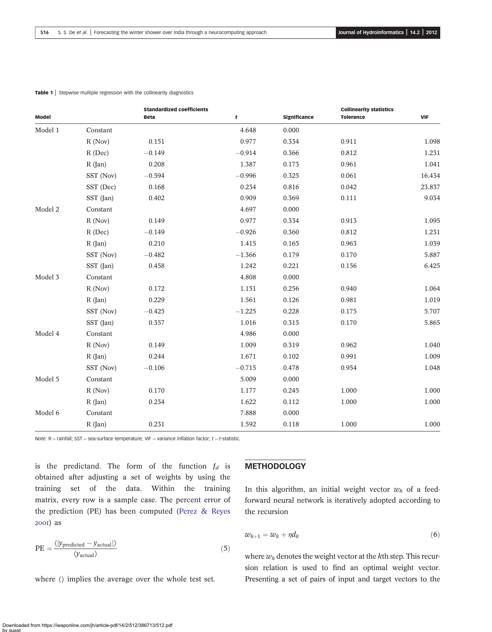#### <span id="page-4-0"></span>Table 1 | Stepwise multiple regression with the collinearity diagnostics

| Model   |           | <b>Standardized coefficients</b><br><b>Beta</b> | t        | <b>Significance</b> | <b>Collinearity statistics</b><br><b>Tolerance</b> | <b>VIF</b> |
|---------|-----------|-------------------------------------------------|----------|---------------------|----------------------------------------------------|------------|
| Model 1 | Constant  |                                                 | 4.648    | 0.000               |                                                    |            |
|         | R (Nov)   | 0.151                                           | 0.977    | 0.334               | 0.911                                              | 1.098      |
|         | $R$ (Dec) | $-0.149$                                        | $-0.914$ | 0.366               | 0.812                                              | 1.231      |
|         | $R$ (Jan) | 0.208                                           | 1.387    | 0.173               | 0.961                                              | 1.041      |
|         | SST (Nov) | $-0.594$                                        | $-0.996$ | 0.325               | 0.061                                              | 16.434     |
|         | SST (Dec) | 0.168                                           | 0.234    | 0.816               | 0.042                                              | 23.837     |
|         | SST (Jan) | 0.402                                           | 0.909    | 0.369               | 0.111                                              | 9.034      |
| Model 2 | Constant  |                                                 | 4.697    | 0.000               |                                                    |            |
|         | R (Nov)   | 0.149                                           | 0.977    | 0.334               | 0.913                                              | 1.095      |
|         | $R$ (Dec) | $-0.149$                                        | $-0.926$ | 0.360               | 0.812                                              | 1.231      |
|         | $R$ (Jan) | 0.210                                           | 1.415    | 0.165               | 0.963                                              | 1.039      |
|         | SST (Nov) | $-0.482$                                        | $-1.366$ | 0.179               | 0.170                                              | 5.887      |
|         | SST (Jan) | 0.458                                           | 1.242    | 0.221               | 0.156                                              | 6.425      |
| Model 3 | Constant  |                                                 | 4.808    | 0.000               |                                                    |            |
|         | R (Nov)   | 0.172                                           | 1.151    | 0.256               | 0.940                                              | 1.064      |
|         | $R$ (Jan) | 0.229                                           | 1.561    | 0.126               | 0.981                                              | 1.019      |
|         | SST (Nov) | $-0.425$                                        | $-1.225$ | 0.228               | 0.175                                              | 5.707      |
|         | SST (Jan) | 0.357                                           | 1.016    | 0.315               | 0.170                                              | 5.865      |
| Model 4 | Constant  |                                                 | 4.986    | 0.000               |                                                    |            |
|         | $R$ (Nov) | 0.149                                           | 1.009    | 0.319               | 0.962                                              | 1.040      |
|         | $R$ (Jan) | 0.244                                           | 1.671    | 0.102               | 0.991                                              | 1.009      |
|         | SST (Nov) | $-0.106$                                        | $-0.715$ | 0.478               | 0.954                                              | 1.048      |
| Model 5 | Constant  |                                                 | 5.009    | 0.000               |                                                    |            |
|         | $R$ (Nov) | 0.170                                           | 1.177    | 0.245               | 1.000                                              | 1.000      |
|         | $R$ (Jan) | 0.234                                           | 1.622    | 0.112               | 1.000                                              | 1.000      |
| Model 6 | Constant  |                                                 | 7.888    | 0.000               |                                                    |            |
|         | $R$ (Jan) | 0.231                                           | 1.592    | 0.118               | 1.000                                              | 1.000      |

Note: R = rainfall; SST = sea-surface temperature; VIF = variance inflation factor;  $t = t$ -statistic.

is the predictand. The form of the function  $f_d$  is obtained after adjusting a set of weights by using the training set of the data. Within the training matrix, every row is a sample case. The percent error of the prediction (PE) has been computed ([Perez & Reyes](#page-10-0) ) as

$$
PE = \frac{\langle |y_{\text{predicted}} - y_{\text{actual}}| \rangle}{\langle y_{\text{actual}} \rangle} \tag{5}
$$

where  $\langle \rangle$  implies the average over the whole test set.

## **METHODOLOGY**

In this algorithm, an initial weight vector  $w_k$  of a feedforward neural network is iteratively adopted according to the recursion

$$
w_{k+1} = w_k + \eta d_k \tag{6}
$$

where  $w_k$  denotes the weight vector at the kth step. This recursion relation is used to find an optimal weight vector. Presenting a set of pairs of input and target vectors to the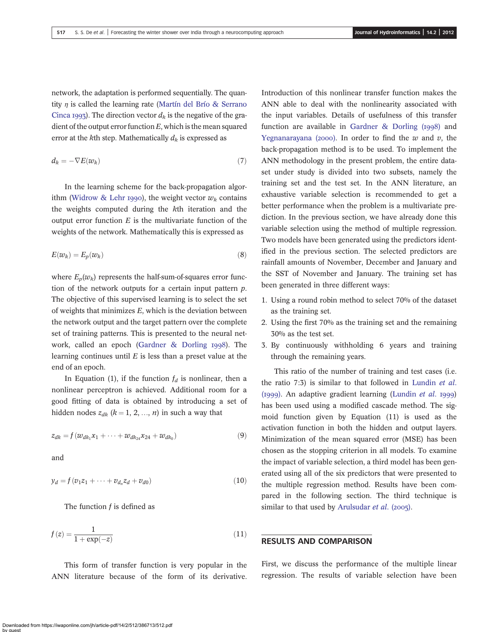network, the adaptation is performed sequentially. The quantity  $\eta$  is called the learning rate ([Martín del Brío & Serrano](#page-10-0) [Cinca](#page-10-0) 1993). The direction vector  $d_k$  is the negative of the gradient of the output error function  $E$ , which is the mean squared error at the kth step. Mathematically  $d_k$  is expressed as

$$
d_k = -\nabla E(w_k) \tag{7}
$$

In the learning scheme for the back-propagation algor-ithm ([Widrow & Lehr](#page-10-0) 1990), the weight vector  $w_k$  contains the weights computed during the kth iteration and the output error function  $E$  is the multivariate function of the weights of the network. Mathematically this is expressed as

$$
E(w_k) = E_p(w_k) \tag{8}
$$

where  $E_p(w_k)$  represents the half-sum-of-squares error function of the network outputs for a certain input pattern p. The objective of this supervised learning is to select the set of weights that minimizes  $E$ , which is the deviation between the network output and the target pattern over the complete set of training patterns. This is presented to the neural network, called an epoch (Gardner  $\&$  Dorling 1998). The learning continues until  $E$  is less than a preset value at the end of an epoch.

In Equation (1), if the function  $f_d$  is nonlinear, then a nonlinear perceptron is achieved. Additional room for a good fitting of data is obtained by introducing a set of hidden nodes  $z_{dk}$  ( $k = 1, 2, ..., n$ ) in such a way that

$$
z_{dk} = f(w_{dk_1}x_1 + \dots + w_{dk_{24}}x_{24} + w_{dk_0})
$$
\n(9)

and

$$
y_d = f(v_1z_1 + \dots + v_{d_n}z_d + v_{d0})
$$
\n
$$
(10)
$$

The function  $f$  is defined as

$$
f(z) = \frac{1}{1 + \exp(-z)}
$$
 (11)

This form of transfer function is very popular in the ANN literature because of the form of its derivative. Introduction of this nonlinear transfer function makes the ANN able to deal with the nonlinearity associated with the input variables. Details of usefulness of this transfer function are available in Gardner  $\&$  Dorling (1998) and [Yegnanarayana \(](#page-10-0)2000). In order to find the w and v, the back-propagation method is to be used. To implement the ANN methodology in the present problem, the entire dataset under study is divided into two subsets, namely the training set and the test set. In the ANN literature, an exhaustive variable selection is recommended to get a better performance when the problem is a multivariate prediction. In the previous section, we have already done this variable selection using the method of multiple regression. Two models have been generated using the predictors identified in the previous section. The selected predictors are rainfall amounts of November, December and January and the SST of November and January. The training set has been generated in three different ways:

- 1. Using a round robin method to select 70% of the dataset as the training set.
- 2. Using the first 70% as the training set and the remaining 30% as the test set.
- 3. By continuously withholding 6 years and training through the remaining years.

This ratio of the number of training and test cases (i.e. the ratio 7:3) is similar to that followed in [Lundin](#page-10-0) et al.  $(1999)$ . An adaptive gradient learning [\(Lundin](#page-10-0) *et al.* 1999) has been used using a modified cascade method. The sigmoid function given by Equation (11) is used as the activation function in both the hidden and output layers. Minimization of the mean squared error (MSE) has been chosen as the stopping criterion in all models. To examine the impact of variable selection, a third model has been generated using all of the six predictors that were presented to the multiple regression method. Results have been compared in the following section. The third technique is similar to that used by [Arulsudar](#page-9-0) *et al.* (2005).

#### RESULTS AND COMPARISON

First, we discuss the performance of the multiple linear regression. The results of variable selection have been

Downloaded from https://iwaponline.com/jh/article-pdf/14/2/512/386713/512.pdf by guest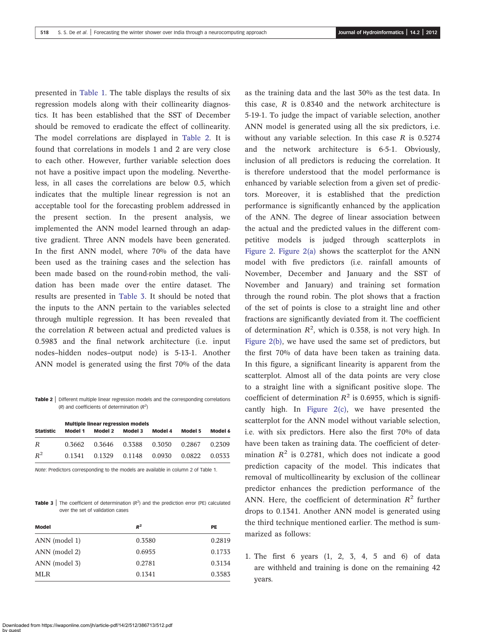presented in [Table 1](#page-4-0). The table displays the results of six regression models along with their collinearity diagnostics. It has been established that the SST of December should be removed to eradicate the effect of collinearity. The model correlations are displayed in Table 2. It is found that correlations in models 1 and 2 are very close to each other. However, further variable selection does not have a positive impact upon the modeling. Nevertheless, in all cases the correlations are below 0.5, which indicates that the multiple linear regression is not an acceptable tool for the forecasting problem addressed in the present section. In the present analysis, we implemented the ANN model learned through an adaptive gradient. Three ANN models have been generated. In the first ANN model, where 70% of the data have been used as the training cases and the selection has been made based on the round-robin method, the validation has been made over the entire dataset. The results are presented in Table 3. It should be noted that the inputs to the ANN pertain to the variables selected through multiple regression. It has been revealed that the correlation  $R$  between actual and predicted values is 0.5983 and the final network architecture (i.e. input nodes–hidden nodes–output node) is 5-13-1. Another ANN model is generated using the first 70% of the data

Table 2 | Different multiple linear regression models and the corresponding correlations  $(R)$  and coefficients of determination  $(R^2)$ 

|                  | <b>Multiple linear regression models</b> |         |         |               |         |         |  |  |
|------------------|------------------------------------------|---------|---------|---------------|---------|---------|--|--|
| <b>Statistic</b> | Model 1                                  | Model 2 | Model 3 | Model 4       | Model 5 | Model 6 |  |  |
| R                | 0.3662                                   | 0.3646  |         | 0.3388 0.3050 | 0.2867  | 0.2309  |  |  |
| $R^2$            | 0.1341                                   | 0.1329  |         | 0.1148 0.0930 | 0.0822  | 0.0533  |  |  |

Note: Predictors corresponding to the models are available in column 2 of Table 1.

**Table 3** The coefficient of determination  $(R^2)$  and the prediction error (PE) calculated over the set of validation cases

| Model         | $R^2$  | <b>PE</b> |
|---------------|--------|-----------|
| ANN (model 1) | 0.3580 | 0.2819    |
| ANN (model 2) | 0.6955 | 0.1733    |
| ANN (model 3) | 0.2781 | 0.3134    |
| MLR           | 0.1341 | 0.3583    |

as the training data and the last 30% as the test data. In this case, R is 0.8340 and the network architecture is 5-19-1. To judge the impact of variable selection, another ANN model is generated using all the six predictors, i.e. without any variable selection. In this case  $R$  is 0.5274 and the network architecture is 6-5-1. Obviously, inclusion of all predictors is reducing the correlation. It is therefore understood that the model performance is enhanced by variable selection from a given set of predictors. Moreover, it is established that the prediction performance is significantly enhanced by the application of the ANN. The degree of linear association between the actual and the predicted values in the different competitive models is judged through scatterplots in [Figure 2.](#page-7-0) Figure  $2(a)$  shows the scatterplot for the ANN model with five predictors (i.e. rainfall amounts of November, December and January and the SST of November and January) and training set formation through the round robin. The plot shows that a fraction of the set of points is close to a straight line and other fractions are significantly deviated from it. The coefficient of determination  $R^2$ , which is 0.358, is not very high. In [Figure 2\(b\),](#page-7-0) we have used the same set of predictors, but the first 70% of data have been taken as training data. In this figure, a significant linearity is apparent from the scatterplot. Almost all of the data points are very close to a straight line with a significant positive slope. The coefficient of determination  $R^2$  is 0.6955, which is significantly high. In [Figure 2\(c\),](#page-7-0) we have presented the scatterplot for the ANN model without variable selection, i.e. with six predictors. Here also the first 70% of data have been taken as training data. The coefficient of determination  $R^2$  is 0.2781, which does not indicate a good prediction capacity of the model. This indicates that removal of multicollinearity by exclusion of the collinear predictor enhances the prediction performance of the ANN. Here, the coefficient of determination  $R^2$  further drops to 0.1341. Another ANN model is generated using the third technique mentioned earlier. The method is summarized as follows:

1. The first 6 years (1, 2, 3, 4, 5 and 6) of data are withheld and training is done on the remaining 42 years.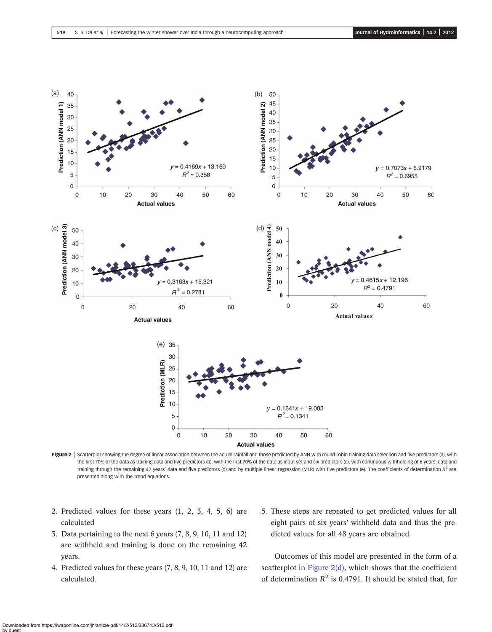<span id="page-7-0"></span>

Figure 2 Scatterplot showing the degree of linear association between the actual rainfall and those predicted by ANN with round-robin training data selection and five predictors (a), with the first 70% of the data as training data and five predictors (b), with the first 70% of the data as input set and six predictors (c), with continuous withholding of 6 years' data and training through the remaining 42 years' data and five predictors (d) and by multiple linear regression (MLR) with five predictors (e). The coefficients of determination  $R^2$  are presented along with the trend equations.

- 2. Predicted values for these years (1, 2, 3, 4, 5, 6) are calculated
- 3. Data pertaining to the next 6 years (7, 8, 9, 10, 11 and 12) are withheld and training is done on the remaining 42 years.
- 4. Predicted values for these years (7, 8, 9, 10, 11 and 12) are calculated.
- 5. These steps are repeated to get predicted values for all eight pairs of six years' withheld data and thus the predicted values for all 48 years are obtained.

Outcomes of this model are presented in the form of a scatterplot in Figure 2(d), which shows that the coefficient of determination  $R^2$  is 0.4791. It should be stated that, for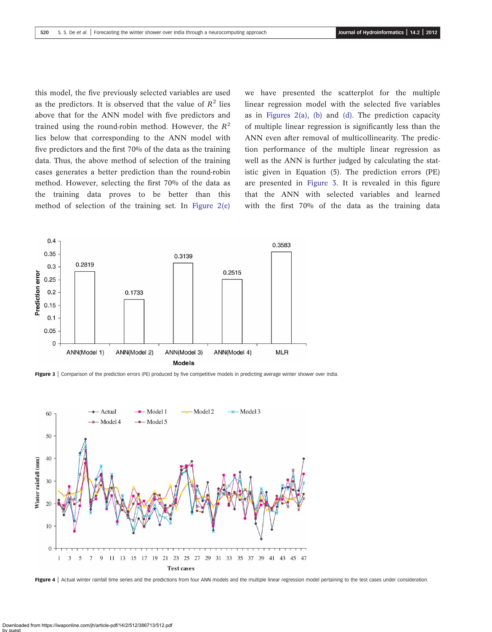<span id="page-8-0"></span>this model, the five previously selected variables are used as the predictors. It is observed that the value of  $R^2$  lies above that for the ANN model with five predictors and trained using the round-robin method. However, the  $R^2$ lies below that corresponding to the ANN model with five predictors and the first 70% of the data as the training data. Thus, the above method of selection of the training cases generates a better prediction than the round-robin method. However, selecting the first 70% of the data as the training data proves to be better than this method of selection of the training set. In [Figure 2\(e\)](#page-7-0) we have presented the scatterplot for the multiple linear regression model with the selected five variables as in Figures  $2(a)$ , [\(b\)](#page-7-0) and [\(d\)](#page-7-0). The prediction capacity of multiple linear regression is significantly less than the ANN even after removal of multicollinearity. The prediction performance of the multiple linear regression as well as the ANN is further judged by calculating the statistic given in Equation (5). The prediction errors (PE) are presented in Figure 3. It is revealed in this figure that the ANN with selected variables and learned with the first 70% of the data as the training data



Figure 3 | Comparison of the prediction errors (PE) produced by five competitive models in predicting average winter shower over India



Figure 4 | Actual winter rainfall time series and the predictions from four ANN models and the multiple linear regression model pertaining to the test cases under consideration.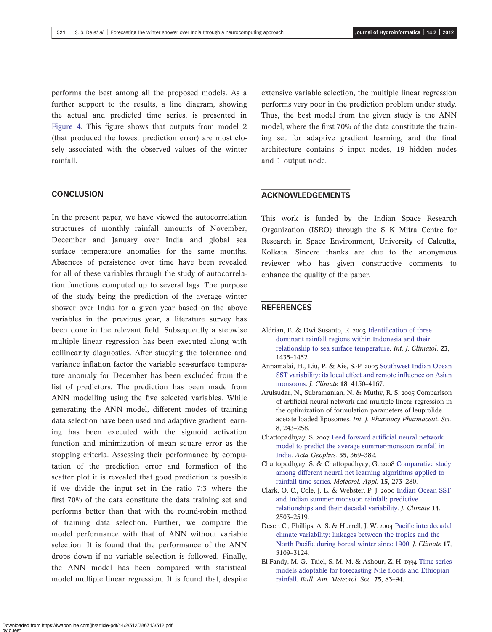<span id="page-9-0"></span>performs the best among all the proposed models. As a further support to the results, a line diagram, showing the actual and predicted time series, is presented in [Figure 4](#page-8-0). This figure shows that outputs from model 2 (that produced the lowest prediction error) are most closely associated with the observed values of the winter rainfall.

#### **CONCLUSION**

In the present paper, we have viewed the autocorrelation structures of monthly rainfall amounts of November, December and January over India and global sea surface temperature anomalies for the same months. Absences of persistence over time have been revealed for all of these variables through the study of autocorrelation functions computed up to several lags. The purpose of the study being the prediction of the average winter shower over India for a given year based on the above variables in the previous year, a literature survey has been done in the relevant field. Subsequently a stepwise multiple linear regression has been executed along with collinearity diagnostics. After studying the tolerance and variance inflation factor the variable sea-surface temperature anomaly for December has been excluded from the list of predictors. The prediction has been made from ANN modelling using the five selected variables. While generating the ANN model, different modes of training data selection have been used and adaptive gradient learning has been executed with the sigmoid activation function and minimization of mean square error as the stopping criteria. Assessing their performance by computation of the prediction error and formation of the scatter plot it is revealed that good prediction is possible if we divide the input set in the ratio 7:3 where the first 70% of the data constitute the data training set and performs better than that with the round-robin method of training data selection. Further, we compare the model performance with that of ANN without variable selection. It is found that the performance of the ANN drops down if no variable selection is followed. Finally, the ANN model has been compared with statistical model multiple linear regression. It is found that, despite

extensive variable selection, the multiple linear regression performs very poor in the prediction problem under study. Thus, the best model from the given study is the ANN model, where the first 70% of the data constitute the training set for adaptive gradient learning, and the final architecture contains 5 input nodes, 19 hidden nodes and 1 output node.

#### ACKNOWLEDGEMENTS

This work is funded by the Indian Space Research Organization (ISRO) through the S K Mitra Centre for Research in Space Environment, University of Calcutta, Kolkata. Sincere thanks are due to the anonymous reviewer who has given constructive comments to enhance the quality of the paper.

### **REFERENCES**

- Aldrian, E. & Dwi Susanto, R. 2003 Identifi[cation of three](http://dx.doi.org/10.1002/joc.950) [dominant rainfall regions within Indonesia and their](http://dx.doi.org/10.1002/joc.950) [relationship to sea surface temperature.](http://dx.doi.org/10.1002/joc.950) Int. J. Climatol. 23, 1435–1452.
- Annamalai, H., Liu, P. & Xie, S.-P. 2005 [Southwest Indian Ocean](http://dx.doi.org/10.1175/JCLI3533.1) [SST variability: its local effect and remote in](http://dx.doi.org/10.1175/JCLI3533.1)fluence on Asian [monsoons.](http://dx.doi.org/10.1175/JCLI3533.1) J. Climate 18, 4150–4167.
- Arulsudar, N., Subramanian, N. & Muthy, R. S. 2005 Comparison of artificial neural network and multiple linear regression in the optimization of formulation parameters of leuprolide acetate loaded liposomes. Int. J. Pharmacy Pharmaceut. Sci. 8, 243–258.
- Chattopadhyay, S. 2007 Feed forward artifi[cial neural network](http://dx.doi.org/10.2478/s11600-007-0020-8) [model to predict the average summer-monsoon rainfall in](http://dx.doi.org/10.2478/s11600-007-0020-8) [India.](http://dx.doi.org/10.2478/s11600-007-0020-8) Acta Geophys. 55, 369–382.
- Chattopadhyay, S. & Chattopadhyay, G. 2008 [Comparative study](http://dx.doi.org/10.1002/met.71) [among different neural net learning algorithms applied to](http://dx.doi.org/10.1002/met.71) [rainfall time series.](http://dx.doi.org/10.1002/met.71) Meteorol. Appl. 15, 273–280.
- Clark, O. C., Cole, J. E. & Webster, P. J. 2000 [Indian Ocean SST](http://dx.doi.org/10.1175/1520-0442(2000)013%3C2503:IOSAIS%3E2.0.CO;2) [and Indian summer monsoon rainfall: predictive](http://dx.doi.org/10.1175/1520-0442(2000)013%3C2503:IOSAIS%3E2.0.CO;2) [relationships and their decadal variability](http://dx.doi.org/10.1175/1520-0442(2000)013%3C2503:IOSAIS%3E2.0.CO;2). J. Climate 14, 2503–2519.
- Deser, C., Phillips, A. S. & Hurrell, J. W. 2004 Pacifi[c interdecadal](http://dx.doi.org/10.1175/1520-0442(2004)017%3C3109:PICVLB%3E2.0.CO;2) [climate variability: linkages between the tropics and the](http://dx.doi.org/10.1175/1520-0442(2004)017%3C3109:PICVLB%3E2.0.CO;2) North Pacifi[c during boreal winter since 1900](http://dx.doi.org/10.1175/1520-0442(2004)017%3C3109:PICVLB%3E2.0.CO;2). J. Climate 17, 3109–3124.
- El-Fandy, M. G., Taiel, S. M. M. & Ashour, Z. H. 1994 [Time series](http://dx.doi.org/10.1175/1520-0477(1994)075%3C0083:TSMAFF%3E2.0.CO;2) [models adoptable for forecasting Nile](http://dx.doi.org/10.1175/1520-0477(1994)075%3C0083:TSMAFF%3E2.0.CO;2) floods and Ethiopian [rainfall.](http://dx.doi.org/10.1175/1520-0477(1994)075%3C0083:TSMAFF%3E2.0.CO;2) Bull. Am. Meteorol. Soc. 75, 83–94.